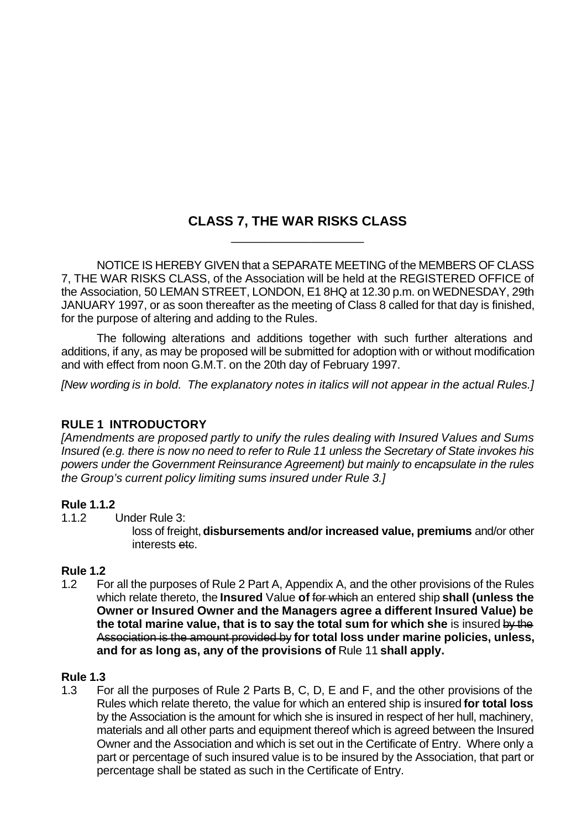## **CLASS 7, THE WAR RISKS CLASS** \_\_\_\_\_\_\_\_\_\_\_\_\_\_\_\_\_\_\_\_

NOTICE IS HEREBY GIVEN that a SEPARATE MEETING of the MEMBERS OF CLASS 7, THE WAR RISKS CLASS, of the Association will be held at the REGISTERED OFFICE of the Association, 50 LEMAN STREET, LONDON, E1 8HQ at 12.30 p.m. on WEDNESDAY, 29th JANUARY 1997, or as soon thereafter as the meeting of Class 8 called for that day is finished, for the purpose of altering and adding to the Rules.

The following alterations and additions together with such further alterations and additions, if any, as may be proposed will be submitted for adoption with or without modification and with effect from noon G.M.T. on the 20th day of February 1997.

*[New wording is in bold. The explanatory notes in italics will not appear in the actual Rules.]*

## **RULE 1 INTRODUCTORY**

*[Amendments are proposed partly to unify the rules dealing with Insured Values and Sums Insured (e.g. there is now no need to refer to Rule 11 unless the Secretary of State invokes his powers under the Government Reinsurance Agreement) but mainly to encapsulate in the rules the Group's current policy limiting sums insured under Rule 3.]*

#### **Rule 1.1.2**

1.1.2 Under Rule 3:

loss of freight, **disbursements and/or increased value, premiums** and/or other interests etc.

## **Rule 1.2**

1.2 For all the purposes of Rule 2 Part A, Appendix A, and the other provisions of the Rules which relate thereto, the **Insured** Value **of** for which an entered ship **shall (unless the Owner or Insured Owner and the Managers agree a different Insured Value) be the total marine value, that is to say the total sum for which she** is insured by the Association is the amount provided by **for total loss under marine policies, unless, and for as long as, any of the provisions of** Rule 11 **shall apply.**

## **Rule 1.3**

1.3 For all the purposes of Rule 2 Parts B, C, D, E and F, and the other provisions of the Rules which relate thereto, the value for which an entered ship is insured **for total loss** by the Association is the amount for which she is insured in respect of her hull, machinery, materials and all other parts and equipment thereof which is agreed between the Insured Owner and the Association and which is set out in the Certificate of Entry. Where only a part or percentage of such insured value is to be insured by the Association, that part or percentage shall be stated as such in the Certificate of Entry.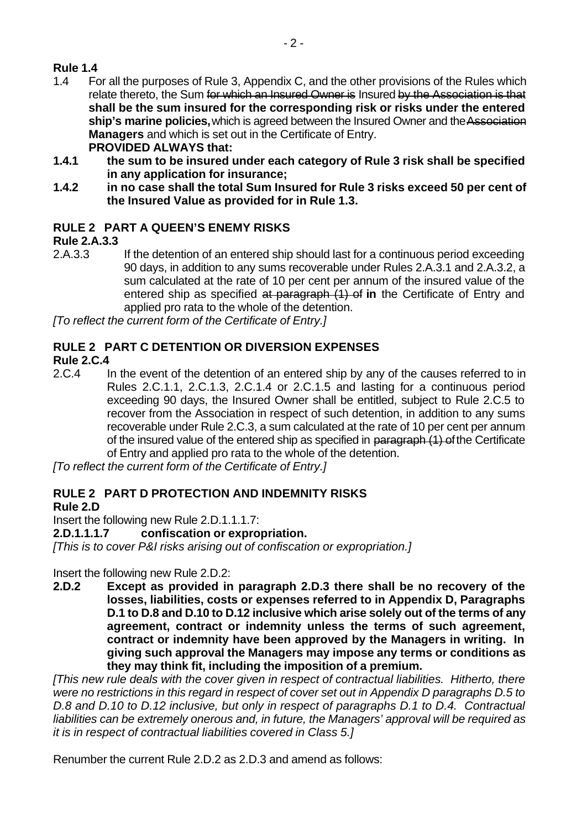# **Rule 1.4**

- 1.4 For all the purposes of Rule 3, Appendix C, and the other provisions of the Rules which relate thereto, the Sum for which an Insured Owner is Insured by the Association is that **shall be the sum insured for the corresponding risk or risks under the entered ship's marine policies,** which is agreed between the Insured Owner and the Association **Managers** and which is set out in the Certificate of Entry. **PROVIDED ALWAYS that:**
- **1.4.1 the sum to be insured under each category of Rule 3 risk shall be specified in any application for insurance;**
- **1.4.2 in no case shall the total Sum Insured for Rule 3 risks exceed 50 per cent of the Insured Value as provided for in Rule 1.3.**

# **RULE 2 PART A QUEEN'S ENEMY RISKS**

## **Rule 2.A.3.3**

2.A.3.3 If the detention of an entered ship should last for a continuous period exceeding 90 days, in addition to any sums recoverable under Rules 2.A.3.1 and 2.A.3.2, a sum calculated at the rate of 10 per cent per annum of the insured value of the entered ship as specified at paragraph (1) of **in** the Certificate of Entry and applied pro rata to the whole of the detention.

*[To reflect the current form of the Certificate of Entry.]*

# **RULE 2 PART C DETENTION OR DIVERSION EXPENSES**

#### **Rule 2.C.4**

2.C.4 In the event of the detention of an entered ship by any of the causes referred to in Rules 2.C.1.1, 2.C.1.3, 2.C.1.4 or 2.C.1.5 and lasting for a continuous period exceeding 90 days, the Insured Owner shall be entitled, subject to Rule 2.C.5 to recover from the Association in respect of such detention, in addition to any sums recoverable under Rule 2.C.3, a sum calculated at the rate of 10 per cent per annum of the insured value of the entered ship as specified in paragraph (1) of the Certificate of Entry and applied pro rata to the whole of the detention.

*[To reflect the current form of the Certificate of Entry.]*

## **RULE 2 PART D PROTECTION AND INDEMNITY RISKS**

## **Rule 2.D**

Insert the following new Rule 2.D.1.1.1.7:

#### **2.D.1.1.1.7 confiscation or expropriation.**

*[This is to cover P&I risks arising out of confiscation or expropriation.]*

Insert the following new Rule 2.D.2:

**2.D.2 Except as provided in paragraph 2.D.3 there shall be no recovery of the losses, liabilities, costs or expenses referred to in Appendix D, Paragraphs D.1 to D.8 and D.10 to D.12 inclusive which arise solely out of the terms of any agreement, contract or indemnity unless the terms of such agreement, contract or indemnity have been approved by the Managers in writing. In giving such approval the Managers may impose any terms or conditions as they may think fit, including the imposition of a premium.**

*[This new rule deals with the cover given in respect of contractual liabilities. Hitherto, there were no restrictions in this regard in respect of cover set out in Appendix D paragraphs D.5 to D.8 and D.10 to D.12 inclusive, but only in respect of paragraphs D.1 to D.4. Contractual liabilities can be extremely onerous and, in future, the Managers' approval will be required as it is in respect of contractual liabilities covered in Class 5.]*

Renumber the current Rule 2.D.2 as 2.D.3 and amend as follows: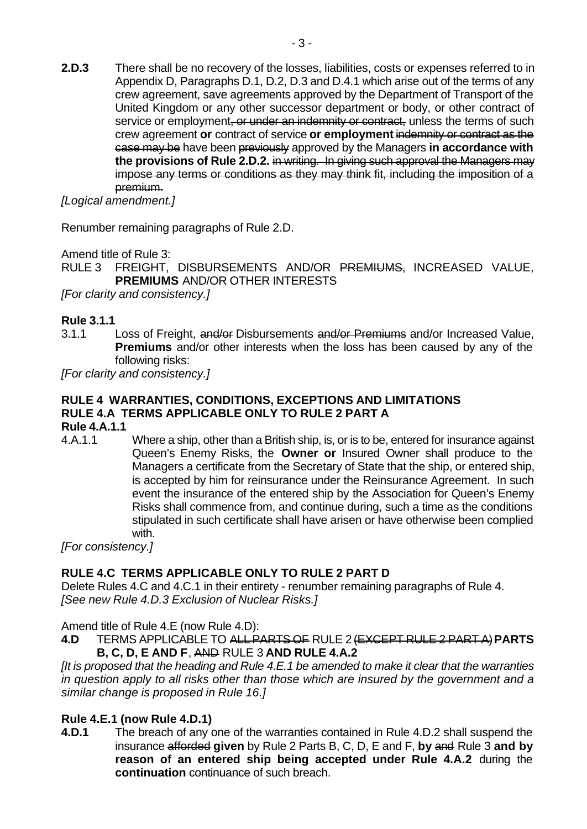**2.D.3** There shall be no recovery of the losses, liabilities, costs or expenses referred to in Appendix D, Paragraphs D.1, D.2, D.3 and D.4.1 which arise out of the terms of any crew agreement, save agreements approved by the Department of Transport of the United Kingdom or any other successor department or body, or other contract of service or employment, or under an indemnity or contract, unless the terms of such crew agreement **or** contract of service **or employment** indemnity or contract as the case may be have been previously approved by the Managers **in accordance with the provisions of Rule 2.D.2.** in writing. In giving such approval the Managers may impose any terms or conditions as they may think fit, including the imposition of a premium.

*[Logical amendment.]*

Renumber remaining paragraphs of Rule 2.D.

Amend title of Rule 3:

RULE 3 FREIGHT, DISBURSEMENTS AND/OR PREMIUMS, INCREASED VALUE, **PREMIUMS** AND/OR OTHER INTERESTS

*[For clarity and consistency.]*

#### **Rule 3.1.1**

3.1.1 Loss of Freight, and/or Disbursements and/or Premiums and/or Increased Value, **Premiums** and/or other interests when the loss has been caused by any of the following risks:

*[For clarity and consistency.]*

## **RULE 4 WARRANTIES, CONDITIONS, EXCEPTIONS AND LIMITATIONS RULE 4.A TERMS APPLICABLE ONLY TO RULE 2 PART A**

#### **Rule 4.A.1.1**

4.A.1.1 Where a ship, other than a British ship, is, or is to be, entered for insurance against Queen's Enemy Risks, the **Owner or** Insured Owner shall produce to the Managers a certificate from the Secretary of State that the ship, or entered ship, is accepted by him for reinsurance under the Reinsurance Agreement. In such event the insurance of the entered ship by the Association for Queen's Enemy Risks shall commence from, and continue during, such a time as the conditions stipulated in such certificate shall have arisen or have otherwise been complied with.

*[For consistency.]*

## **RULE 4.C TERMS APPLICABLE ONLY TO RULE 2 PART D**

Delete Rules 4.C and 4.C.1 in their entirety - renumber remaining paragraphs of Rule 4. *[See new Rule 4.D.3 Exclusion of Nuclear Risks.]*

Amend title of Rule 4.E (now Rule 4.D):

**4.D** TERMS APPLICABLE TO ALL PARTS OF RULE 2 (EXCEPT RULE 2 PART A)**PARTS B, C, D, E AND F**, AND RULE 3 **AND RULE 4.A.2**

*[It is proposed that the heading and Rule 4.E.1 be amended to make it clear that the warranties in question apply to all risks other than those which are insured by the government and a similar change is proposed in Rule 16.]*

#### **Rule 4.E.1 (now Rule 4.D.1)**

**4.D.1** The breach of any one of the warranties contained in Rule 4.D.2 shall suspend the insurance afforded **given** by Rule 2 Parts B, C, D, E and F, **by** and Rule 3 **and by reason of an entered ship being accepted under Rule 4.A.2** during the **continuation** continuance of such breach.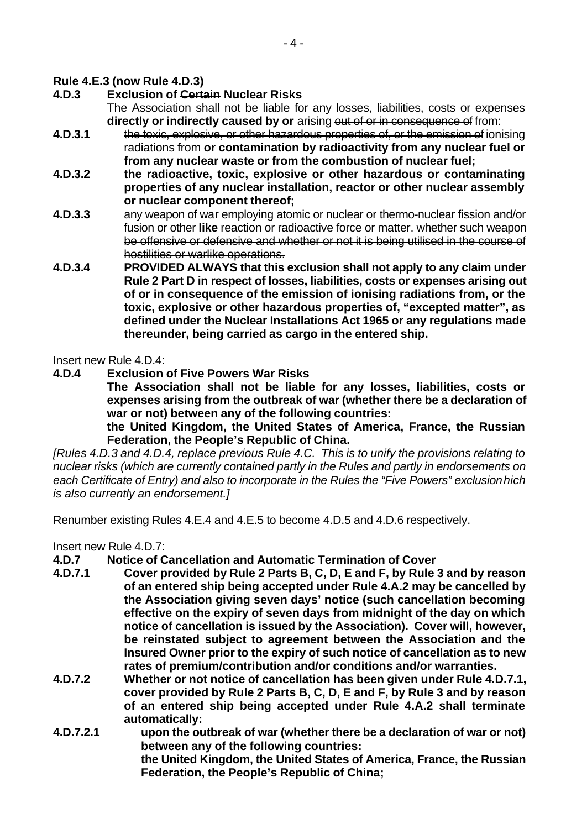#### **Rule 4.E.3 (now Rule 4.D.3)**

**4.D.3 Exclusion of Certain Nuclear Risks**

The Association shall not be liable for any losses, liabilities, costs or expenses **directly or indirectly caused by or** arising out of or in consequence of from:

- **4.D.3.1** the toxic, explosive, or other hazardous properties of, or the emission of ionising radiations from **or contamination by radioactivity from any nuclear fuel or from any nuclear waste or from the combustion of nuclear fuel;**
- **4.D.3.2 the radioactive, toxic, explosive or other hazardous or contaminating properties of any nuclear installation, reactor or other nuclear assembly or nuclear component thereof;**
- **4.D.3.3** any weapon of war employing atomic or nuclear or thermo-nuclear fission and/or fusion or other **like** reaction or radioactive force or matter. whether such weapon be offensive or defensive and whether or not it is being utilised in the course of hostilities or warlike operations.
- **4.D.3.4 PROVIDED ALWAYS that this exclusion shall not apply to any claim under Rule 2 Part D in respect of losses, liabilities, costs or expenses arising out of or in consequence of the emission of ionising radiations from, or the toxic, explosive or other hazardous properties of, "excepted matter", as defined under the Nuclear Installations Act 1965 or any regulations made thereunder, being carried as cargo in the entered ship.**

Insert new Rule 4.D.4:

**4.D.4 Exclusion of Five Powers War Risks**

**The Association shall not be liable for any losses, liabilities, costs or expenses arising from the outbreak of war (whether there be a declaration of war or not) between any of the following countries:**

**the United Kingdom, the United States of America, France, the Russian Federation, the People's Republic of China.**

*[Rules 4.D.3 and 4.D.4, replace previous Rule 4.C. This is to unify the provisions relating to nuclear risks (which are currently contained partly in the Rules and partly in endorsements on each Certificate of Entry) and also to incorporate in the Rules the "Five Powers" exclusion hich is also currently an endorsement.]*

Renumber existing Rules 4.E.4 and 4.E.5 to become 4.D.5 and 4.D.6 respectively.

Insert new Rule 4.D.7:

- **4.D.7 Notice of Cancellation and Automatic Termination of Cover**
- **4.D.7.1 Cover provided by Rule 2 Parts B, C, D, E and F, by Rule 3 and by reason of an entered ship being accepted under Rule 4.A.2 may be cancelled by the Association giving seven days' notice (such cancellation becoming effective on the expiry of seven days from midnight of the day on which notice of cancellation is issued by the Association). Cover will, however, be reinstated subject to agreement between the Association and the Insured Owner prior to the expiry of such notice of cancellation as to new rates of premium/contribution and/or conditions and/or warranties.**
- **4.D.7.2 Whether or not notice of cancellation has been given under Rule 4.D.7.1, cover provided by Rule 2 Parts B, C, D, E and F, by Rule 3 and by reason of an entered ship being accepted under Rule 4.A.2 shall terminate automatically:**
- **4.D.7.2.1 upon the outbreak of war (whether there be a declaration of war or not) between any of the following countries: the United Kingdom, the United States of America, France, the Russian Federation, the People's Republic of China;**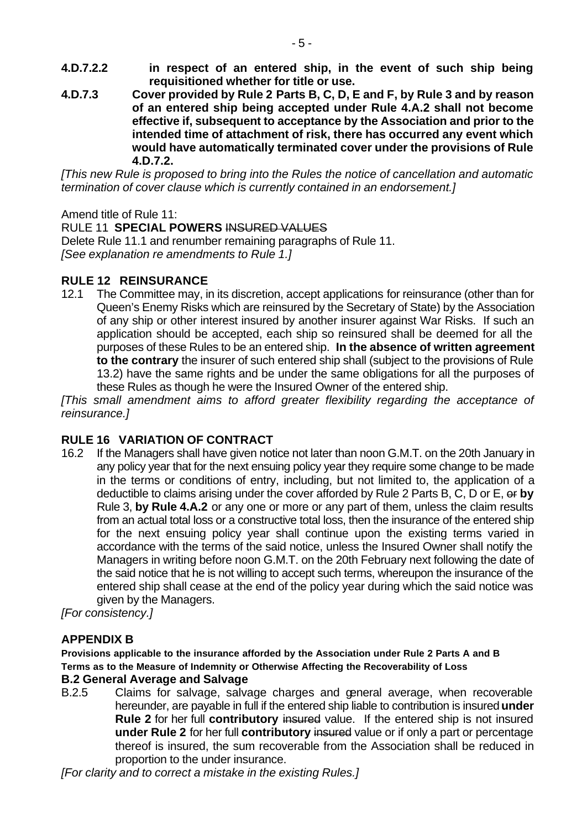- **4.D.7.2.2 in respect of an entered ship, in the event of such ship being requisitioned whether for title or use.**
- **4.D.7.3 Cover provided by Rule 2 Parts B, C, D, E and F, by Rule 3 and by reason of an entered ship being accepted under Rule 4.A.2 shall not become effective if, subsequent to acceptance by the Association and prior to the intended time of attachment of risk, there has occurred any event which would have automatically terminated cover under the provisions of Rule 4.D.7.2.**

*[This new Rule is proposed to bring into the Rules the notice of cancellation and automatic termination of cover clause which is currently contained in an endorsement.]*

Amend title of Rule 11:

#### **RULE 11 SPECIAL POWERS INSURED VALUES**

Delete Rule 11.1 and renumber remaining paragraphs of Rule 11. *[See explanation re amendments to Rule 1.]*

#### **RULE 12 REINSURANCE**

12.1 The Committee may, in its discretion, accept applications for reinsurance (other than for Queen's Enemy Risks which are reinsured by the Secretary of State) by the Association of any ship or other interest insured by another insurer against War Risks. If such an application should be accepted, each ship so reinsured shall be deemed for all the purposes of these Rules to be an entered ship. **In the absence of written agreement to the contrary** the insurer of such entered ship shall (subject to the provisions of Rule 13.2) have the same rights and be under the same obligations for all the purposes of these Rules as though he were the Insured Owner of the entered ship.

*[This small amendment aims to afford greater flexibility regarding the acceptance of reinsurance.]*

## **RULE 16 VARIATION OF CONTRACT**

16.2 If the Managers shall have given notice not later than noon G.M.T. on the 20th January in any policy year that for the next ensuing policy year they require some change to be made in the terms or conditions of entry, including, but not limited to, the application of a deductible to claims arising under the cover afforded by Rule 2 Parts B, C, D or E, or **by** Rule 3, **by Rule 4.A.2** or any one or more or any part of them, unless the claim results from an actual total loss or a constructive total loss, then the insurance of the entered ship for the next ensuing policy year shall continue upon the existing terms varied in accordance with the terms of the said notice, unless the Insured Owner shall notify the Managers in writing before noon G.M.T. on the 20th February next following the date of the said notice that he is not willing to accept such terms, whereupon the insurance of the entered ship shall cease at the end of the policy year during which the said notice was given by the Managers.

*[For consistency.]*

## **APPENDIX B**

**Provisions applicable to the insurance afforded by the Association under Rule 2 Parts A and B Terms as to the Measure of Indemnity or Otherwise Affecting the Recoverability of Loss**

#### **B.2 General Average and Salvage**

B.2.5 Claims for salvage, salvage charges and general average, when recoverable hereunder, are payable in full if the entered ship liable to contribution is insured **under Rule 2** for her full **contributory** insured value. If the entered ship is not insured **under Rule 2** for her full **contributory** insured value or if only a part or percentage thereof is insured, the sum recoverable from the Association shall be reduced in proportion to the under insurance.

*[For clarity and to correct a mistake in the existing Rules.]*